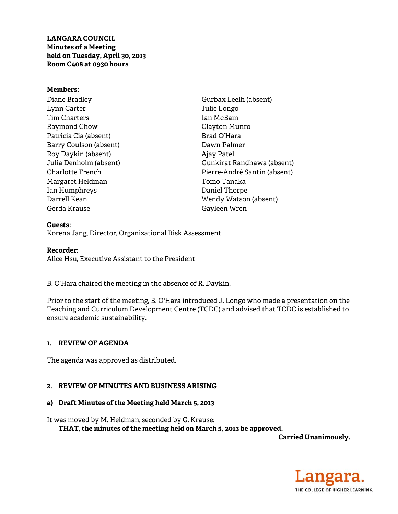**LANGARA COUNCIL Minutes of a Meeting** held on Tuesday, April 30, 2013 Room C408 at 0930 hours

### **Members:**

Diane Bradley Lynn Carter **Tim Charters** Raymond Chow Patricia Cia (absent) Barry Coulson (absent) Roy Daykin (absent) Julia Denholm (absent) Charlotte French Margaret Heldman Ian Humphreys Darrell Kean Gerda Krause

Gurbax Leelh (absent) Julie Longo Ian McBain Clayton Munro Brad O'Hara Dawn Palmer Ajay Patel Gunkirat Randhawa (absent) Pierre-André Santin (absent) Tomo Tanaka Daniel Thorpe Wendy Watson (absent) Gayleen Wren

Guests: Korena Jang, Director, Organizational Risk Assessment

### **Recorder:**

Alice Hsu, Executive Assistant to the President

B. O'Hara chaired the meeting in the absence of R. Daykin.

Prior to the start of the meeting, B. O'Hara introduced J. Longo who made a presentation on the Teaching and Curriculum Development Centre (TCDC) and advised that TCDC is established to ensure academic sustainability.

### 1. REVIEW OF AGENDA

The agenda was approved as distributed.

### 2. REVIEW OF MINUTES AND BUSINESS ARISING

#### a) Draft Minutes of the Meeting held March 5, 2013

It was moved by M. Heldman, seconded by G. Krause:

THAT, the minutes of the meeting held on March 5, 2013 be approved.

**Carried Unanimously.** 

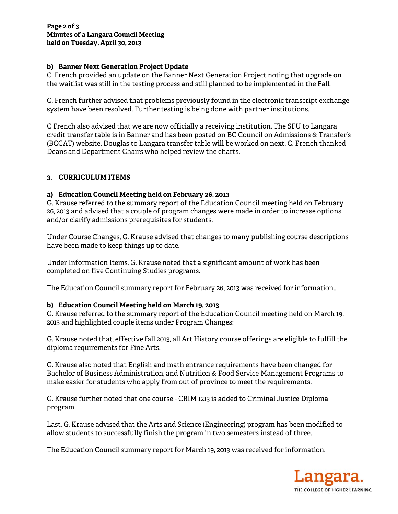## **b)** Banner Next Generation Project Update

C. French provided an update on the Banner Next Generation Project noting that upgrade on the waitlist was still in the testing process and still planned to be implemented in the Fall.

C. French further advised that problems previously found in the electronic transcript exchange system have been resolved. Further testing is being done with partner institutions.

C French also advised that we are now officially a receiving institution. The SFU to Langara credit transfer table is in Banner and has been posted on BC Council on Admissions & Transfer's (BCCAT) website. Douglas to Langara transfer table will be worked on next. C. French thanked Deans and Department Chairs who helped review the charts.

# **3. CURR RICULUM IT TEMS**

## **a) Educ cation Counc cil Meeting h held on Febr ruary 26, 20 13**

G. Krause referred to the summary report of the Education Council meeting held on February 26, 2013 and advised that a couple of program changes were made in order to increase options and/or clarify admissions prerequisites for students.

Under Course Changes, G. Krause advised that changes to many publishing course descriptions have been made to keep things up to date.

Under Information Items, G. Krause noted that a significant amount of work has been completed on five Continuing Studies programs.

The Education Council summary report for February 26, 2013 was received for information..

# **b) Educ cation Counc cil Meeting h held on Mar rch 19, 2013**

G. Krause referred to the summary report of the Education Council meeting held on March 19, 2013 and highlighted couple items under Program Changes:

G. Krause noted that, effective fall 2013, all Art History course offerings are eligible to fulfill the diploma requiremen ts for Fine A Arts.

G. Krause also noted that English and math entrance requirements have been changed for Bachelor of Business Administration, and Nutrition & Food Service Management Programs to make easier for students who apply from out of province to meet the requirements.

G. Krause further noted that one course - CRIM 1213 is added to Criminal Justice Diploma program .

Last, G. Krause advised that the Arts and Science (Engineering) program has been modified to allow students to successfully finish the program in two semesters instead of three.

The Education Council summary report for March 19, 2013 was received for information.